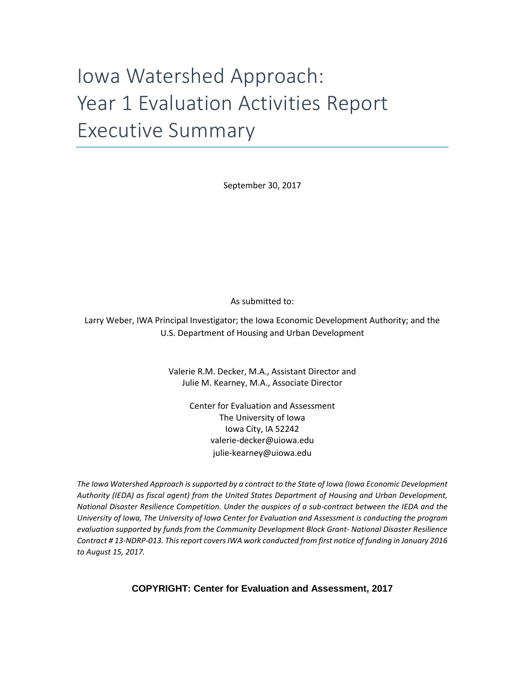# Iowa Watershed Approach: Year 1 Evaluation Activities Report Executive Summary

September 30, 2017

As submitted to:

Larry Weber, IWA Principal Investigator; the Iowa Economic Development Authority; and the U.S. Department of Housing and Urban Development

> Valerie R.M. Decker, M.A., Assistant Director and Julie M. Kearney, M.A., Associate Director

> > Center for Evaluation and Assessment The University of Iowa Iowa City, IA 52242 valerie-decker@uiowa.edu [julie-kearney@uiowa.edu](mailto:d-yarbrough@uiowa.edu)

*The Iowa Watershed Approach is supported by a contract to the State of Iowa (Iowa Economic Development Authority (IEDA) as fiscal agent) from the United States Department of Housing and Urban Development, National Disaster Resilience Competition. Under the auspices of a sub-contract between the IEDA and the University of Iowa, The University of Iowa Center for Evaluation and Assessment is conducting the program evaluation supported by funds from the Community Development Block Grant- National Disaster Resilience Contract # 13-NDRP-013. This report covers IWA work conducted from first notice of funding in January 2016 to August 15, 2017.*

**COPYRIGHT: Center for Evaluation and Assessment, 2017**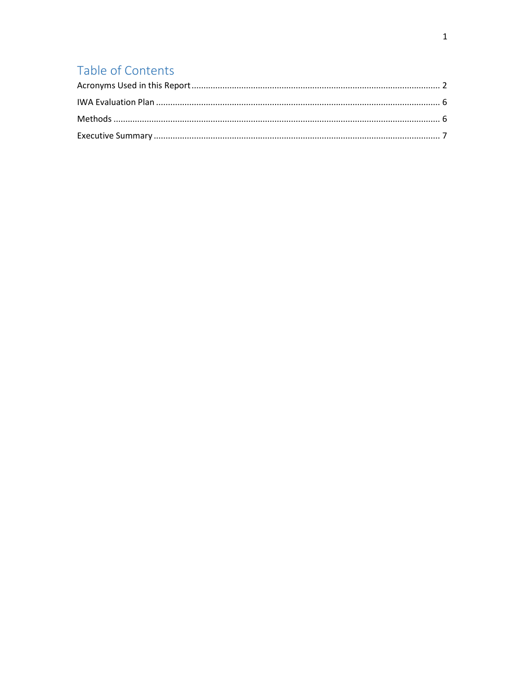# Table of Contents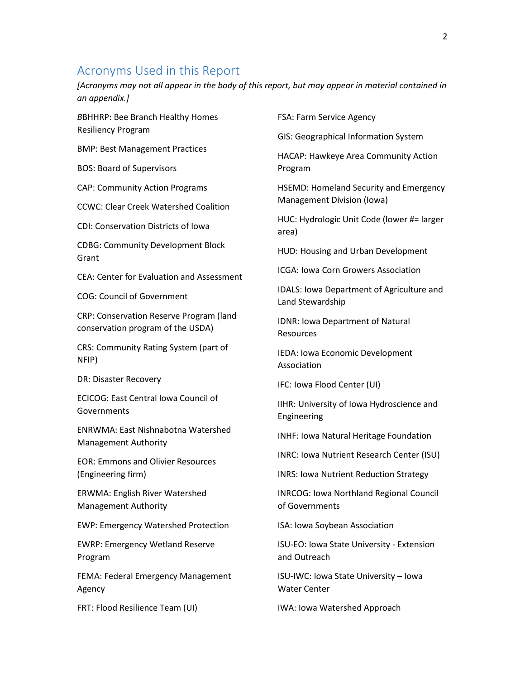#### <span id="page-2-0"></span>Acronyms Used in this Report

*[Acronyms may not all appear in the body of this report, but may appear in material contained in an appendix.]*

*B*BHHRP: Bee Branch Healthy Homes Resiliency Program

BMP: Best Management Practices

BOS: Board of Supervisors

CAP: Community Action Programs

CCWC: Clear Creek Watershed Coalition

CDI: Conservation Districts of Iowa

CDBG: Community Development Block Grant

CEA: Center for Evaluation and Assessment

COG: Council of Government

CRP: Conservation Reserve Program (land conservation program of the USDA)

CRS: Community Rating System (part of NFIP)

DR: Disaster Recovery

ECICOG: East Central Iowa Council of **Governments** 

ENRWMA: East Nishnabotna Watershed Management Authority

EOR: Emmons and Olivier Resources (Engineering firm)

ERWMA: English River Watershed Management Authority

EWP: Emergency Watershed Protection

EWRP: Emergency Wetland Reserve Program

FEMA: Federal Emergency Management Agency

FRT: Flood Resilience Team (UI)

FSA: Farm Service Agency

GIS: Geographical Information System

HACAP: Hawkeye Area Community Action Program

HSEMD: Homeland Security and Emergency Management Division (Iowa)

HUC: Hydrologic Unit Code (lower #= larger area)

HUD: Housing and Urban Development

ICGA: Iowa Corn Growers Association

IDALS: Iowa Department of Agriculture and Land Stewardship

IDNR: Iowa Department of Natural Resources

IEDA: Iowa Economic Development Association

IFC: Iowa Flood Center (UI)

IIHR: University of Iowa Hydroscience and Engineering

INHF: Iowa Natural Heritage Foundation

INRC: Iowa Nutrient Research Center (ISU)

INRS: Iowa Nutrient Reduction Strategy

INRCOG: Iowa Northland Regional Council of Governments

ISA: Iowa Soybean Association

ISU-EO: Iowa State University - Extension and Outreach

ISU-IWC: Iowa State University – Iowa Water Center

IWA: Iowa Watershed Approach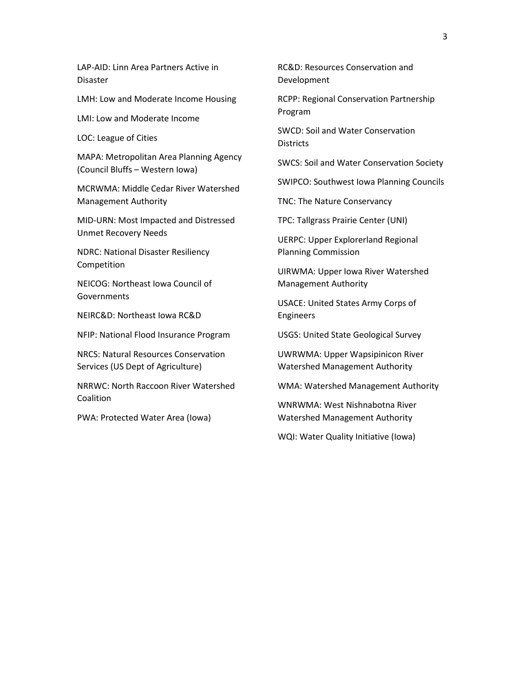LAP-AID: Linn Area Partners Active in Disaster

LMH: Low and Moderate Income Housing

LMI: Low and Moderate Income

LOC: League of Cities

MAPA: Metropolitan Area Planning Agency (Council Bluffs – Western Iowa)

MCRWMA: Middle Cedar River Watershed Management Authority

MID-URN: Most Impacted and Distressed Unmet Recovery Needs

NDRC: National Disaster Resiliency Competition

NEICOG: Northeast Iowa Council of Governments

NEIRC&D: Northeast Iowa RC&D

NFIP: National Flood Insurance Program

NRCS: Natural Resources Conservation Services (US Dept of Agriculture)

NRRWC: North Raccoon River Watershed Coalition

PWA: Protected Water Area (Iowa)

RC&D: Resources Conservation and Development

RCPP: Regional Conservation Partnership Program

SWCD: Soil and Water Conservation Districts

SWCS: Soil and Water Conservation Society

SWIPCO: Southwest Iowa Planning Councils

TNC: The Nature Conservancy

TPC: Tallgrass Prairie Center (UNI)

UERPC: Upper Explorerland Regional Planning Commission

UIRWMA: Upper Iowa River Watershed Management Authority

USACE: United States Army Corps of Engineers

USGS: United State Geological Survey

UWRWMA: Upper Wapsipinicon River Watershed Management Authority

WMA: Watershed Management Authority

WNRWMA: West Nishnabotna River Watershed Management Authority

WQI: Water Quality Initiative (Iowa)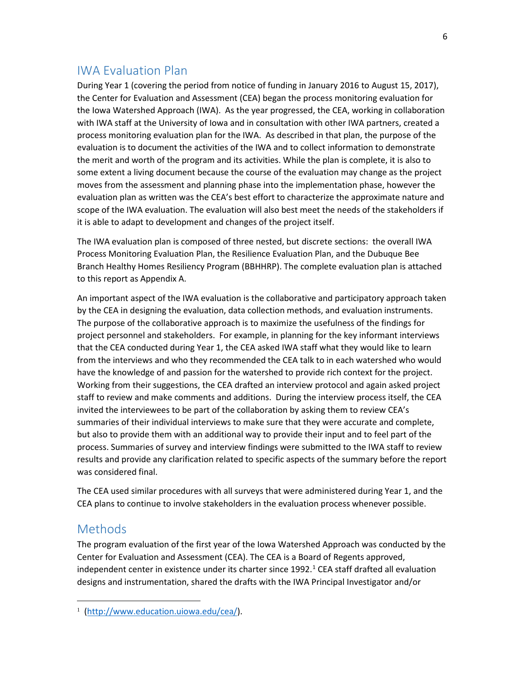## <span id="page-4-0"></span>IWA Evaluation Plan

During Year 1 (covering the period from notice of funding in January 2016 to August 15, 2017), the Center for Evaluation and Assessment (CEA) began the process monitoring evaluation for the Iowa Watershed Approach (IWA). As the year progressed, the CEA, working in collaboration with IWA staff at the University of Iowa and in consultation with other IWA partners, created a process monitoring evaluation plan for the IWA. As described in that plan, the purpose of the evaluation is to document the activities of the IWA and to collect information to demonstrate the merit and worth of the program and its activities. While the plan is complete, it is also to some extent a living document because the course of the evaluation may change as the project moves from the assessment and planning phase into the implementation phase, however the evaluation plan as written was the CEA's best effort to characterize the approximate nature and scope of the IWA evaluation. The evaluation will also best meet the needs of the stakeholders if it is able to adapt to development and changes of the project itself.

The IWA evaluation plan is composed of three nested, but discrete sections: the overall IWA Process Monitoring Evaluation Plan, the Resilience Evaluation Plan, and the Dubuque Bee Branch Healthy Homes Resiliency Program (BBHHRP). The complete evaluation plan is attached to this report as Appendix A.

An important aspect of the IWA evaluation is the collaborative and participatory approach taken by the CEA in designing the evaluation, data collection methods, and evaluation instruments. The purpose of the collaborative approach is to maximize the usefulness of the findings for project personnel and stakeholders. For example, in planning for the key informant interviews that the CEA conducted during Year 1, the CEA asked IWA staff what they would like to learn from the interviews and who they recommended the CEA talk to in each watershed who would have the knowledge of and passion for the watershed to provide rich context for the project. Working from their suggestions, the CEA drafted an interview protocol and again asked project staff to review and make comments and additions. During the interview process itself, the CEA invited the interviewees to be part of the collaboration by asking them to review CEA's summaries of their individual interviews to make sure that they were accurate and complete, but also to provide them with an additional way to provide their input and to feel part of the process. Summaries of survey and interview findings were submitted to the IWA staff to review results and provide any clarification related to specific aspects of the summary before the report was considered final.

The CEA used similar procedures with all surveys that were administered during Year 1, and the CEA plans to continue to involve stakeholders in the evaluation process whenever possible.

### <span id="page-4-1"></span>**Methods**

 $\overline{\phantom{a}}$ 

The program evaluation of the first year of the Iowa Watershed Approach was conducted by the Center for Evaluation and Assessment (CEA). The CEA is a Board of Regents approved, independent center in existence under its charter since 1992. [1](#page-4-2) CEA staff drafted all evaluation designs and instrumentation, shared the drafts with the IWA Principal Investigator and/or

<span id="page-4-2"></span><sup>1</sup> [\(http://www.education.uiowa.edu/cea/\)](http://www.education.uiowa.edu/cea/).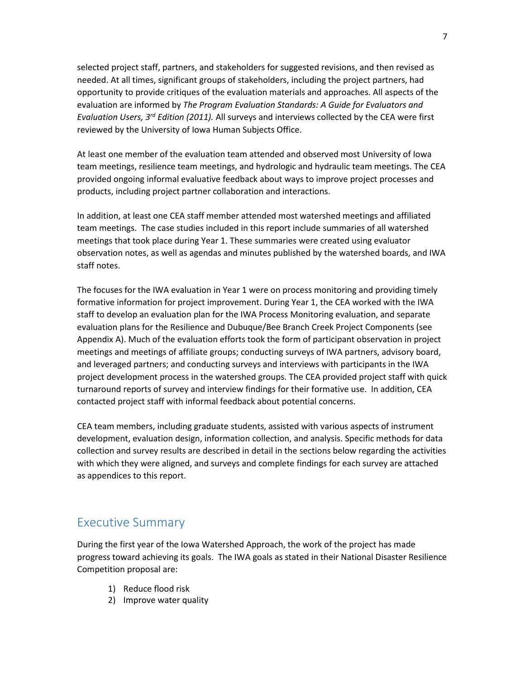selected project staff, partners, and stakeholders for suggested revisions, and then revised as needed. At all times, significant groups of stakeholders, including the project partners, had opportunity to provide critiques of the evaluation materials and approaches. All aspects of the evaluation are informed by *The Program Evaluation Standards: A Guide for Evaluators and Evaluation Users, 3rd Edition (2011).* All surveys and interviews collected by the CEA were first reviewed by the University of Iowa Human Subjects Office.

At least one member of the evaluation team attended and observed most University of Iowa team meetings, resilience team meetings, and hydrologic and hydraulic team meetings. The CEA provided ongoing informal evaluative feedback about ways to improve project processes and products, including project partner collaboration and interactions.

In addition, at least one CEA staff member attended most watershed meetings and affiliated team meetings. The case studies included in this report include summaries of all watershed meetings that took place during Year 1. These summaries were created using evaluator observation notes, as well as agendas and minutes published by the watershed boards, and IWA staff notes.

The focuses for the IWA evaluation in Year 1 were on process monitoring and providing timely formative information for project improvement. During Year 1, the CEA worked with the IWA staff to develop an evaluation plan for the IWA Process Monitoring evaluation, and separate evaluation plans for the Resilience and Dubuque/Bee Branch Creek Project Components (see Appendix A). Much of the evaluation efforts took the form of participant observation in project meetings and meetings of affiliate groups; conducting surveys of IWA partners, advisory board, and leveraged partners; and conducting surveys and interviews with participants in the IWA project development process in the watershed groups. The CEA provided project staff with quick turnaround reports of survey and interview findings for their formative use. In addition, CEA contacted project staff with informal feedback about potential concerns.

CEA team members, including graduate students, assisted with various aspects of instrument development, evaluation design, information collection, and analysis. Specific methods for data collection and survey results are described in detail in the sections below regarding the activities with which they were aligned, and surveys and complete findings for each survey are attached as appendices to this report.

#### <span id="page-5-0"></span>Executive Summary

During the first year of the Iowa Watershed Approach, the work of the project has made progress toward achieving its goals. The IWA goals as stated in their National Disaster Resilience Competition proposal are:

- 1) Reduce flood risk
- 2) Improve water quality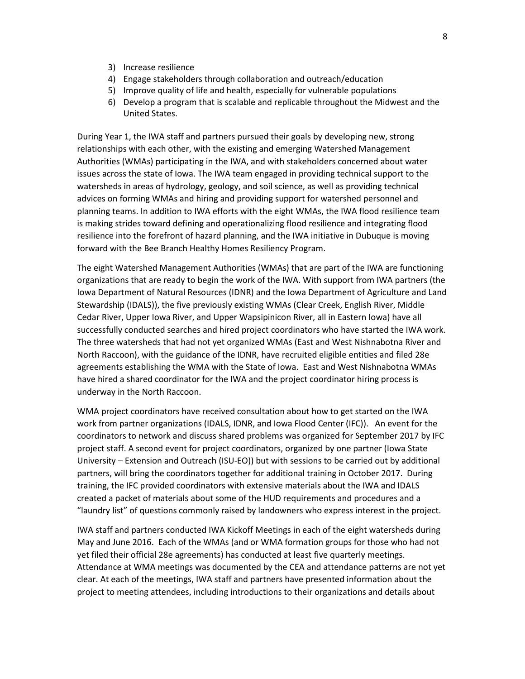- 3) Increase resilience
- 4) Engage stakeholders through collaboration and outreach/education
- 5) Improve quality of life and health, especially for vulnerable populations
- 6) Develop a program that is scalable and replicable throughout the Midwest and the United States.

During Year 1, the IWA staff and partners pursued their goals by developing new, strong relationships with each other, with the existing and emerging Watershed Management Authorities (WMAs) participating in the IWA, and with stakeholders concerned about water issues across the state of Iowa. The IWA team engaged in providing technical support to the watersheds in areas of hydrology, geology, and soil science, as well as providing technical advices on forming WMAs and hiring and providing support for watershed personnel and planning teams. In addition to IWA efforts with the eight WMAs, the IWA flood resilience team is making strides toward defining and operationalizing flood resilience and integrating flood resilience into the forefront of hazard planning, and the IWA initiative in Dubuque is moving forward with the Bee Branch Healthy Homes Resiliency Program.

The eight Watershed Management Authorities (WMAs) that are part of the IWA are functioning organizations that are ready to begin the work of the IWA. With support from IWA partners (the Iowa Department of Natural Resources (IDNR) and the Iowa Department of Agriculture and Land Stewardship (IDALS)), the five previously existing WMAs (Clear Creek, English River, Middle Cedar River, Upper Iowa River, and Upper Wapsipinicon River, all in Eastern Iowa) have all successfully conducted searches and hired project coordinators who have started the IWA work. The three watersheds that had not yet organized WMAs (East and West Nishnabotna River and North Raccoon), with the guidance of the IDNR, have recruited eligible entities and filed 28e agreements establishing the WMA with the State of Iowa. East and West Nishnabotna WMAs have hired a shared coordinator for the IWA and the project coordinator hiring process is underway in the North Raccoon.

WMA project coordinators have received consultation about how to get started on the IWA work from partner organizations (IDALS, IDNR, and Iowa Flood Center (IFC)). An event for the coordinators to network and discuss shared problems was organized for September 2017 by IFC project staff. A second event for project coordinators, organized by one partner (Iowa State University – Extension and Outreach (ISU-EO)) but with sessions to be carried out by additional partners, will bring the coordinators together for additional training in October 2017. During training, the IFC provided coordinators with extensive materials about the IWA and IDALS created a packet of materials about some of the HUD requirements and procedures and a "laundry list" of questions commonly raised by landowners who express interest in the project.

IWA staff and partners conducted IWA Kickoff Meetings in each of the eight watersheds during May and June 2016. Each of the WMAs (and or WMA formation groups for those who had not yet filed their official 28e agreements) has conducted at least five quarterly meetings. Attendance at WMA meetings was documented by the CEA and attendance patterns are not yet clear. At each of the meetings, IWA staff and partners have presented information about the project to meeting attendees, including introductions to their organizations and details about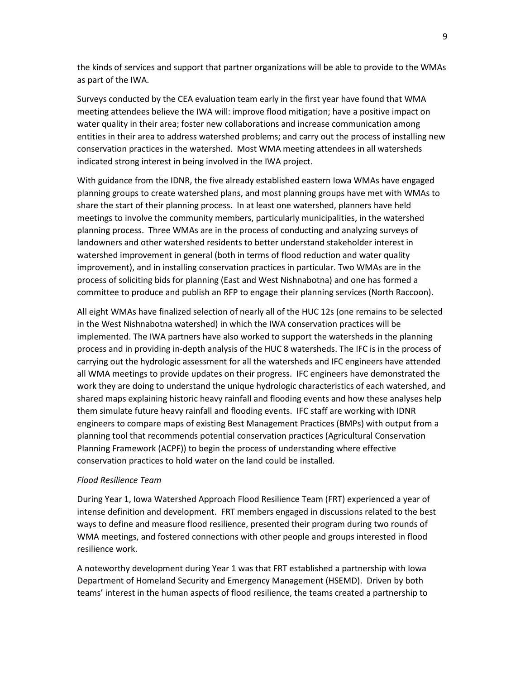the kinds of services and support that partner organizations will be able to provide to the WMAs as part of the IWA.

Surveys conducted by the CEA evaluation team early in the first year have found that WMA meeting attendees believe the IWA will: improve flood mitigation; have a positive impact on water quality in their area; foster new collaborations and increase communication among entities in their area to address watershed problems; and carry out the process of installing new conservation practices in the watershed. Most WMA meeting attendees in all watersheds indicated strong interest in being involved in the IWA project.

With guidance from the IDNR, the five already established eastern Iowa WMAs have engaged planning groups to create watershed plans, and most planning groups have met with WMAs to share the start of their planning process. In at least one watershed, planners have held meetings to involve the community members, particularly municipalities, in the watershed planning process. Three WMAs are in the process of conducting and analyzing surveys of landowners and other watershed residents to better understand stakeholder interest in watershed improvement in general (both in terms of flood reduction and water quality improvement), and in installing conservation practices in particular. Two WMAs are in the process of soliciting bids for planning (East and West Nishnabotna) and one has formed a committee to produce and publish an RFP to engage their planning services (North Raccoon).

All eight WMAs have finalized selection of nearly all of the HUC 12s (one remains to be selected in the West Nishnabotna watershed) in which the IWA conservation practices will be implemented. The IWA partners have also worked to support the watersheds in the planning process and in providing in-depth analysis of the HUC 8 watersheds. The IFC is in the process of carrying out the hydrologic assessment for all the watersheds and IFC engineers have attended all WMA meetings to provide updates on their progress. IFC engineers have demonstrated the work they are doing to understand the unique hydrologic characteristics of each watershed, and shared maps explaining historic heavy rainfall and flooding events and how these analyses help them simulate future heavy rainfall and flooding events. IFC staff are working with IDNR engineers to compare maps of existing Best Management Practices (BMPs) with output from a planning tool that recommends potential conservation practices (Agricultural Conservation Planning Framework (ACPF)) to begin the process of understanding where effective conservation practices to hold water on the land could be installed.

#### *Flood Resilience Team*

During Year 1, Iowa Watershed Approach Flood Resilience Team (FRT) experienced a year of intense definition and development. FRT members engaged in discussions related to the best ways to define and measure flood resilience, presented their program during two rounds of WMA meetings, and fostered connections with other people and groups interested in flood resilience work.

A noteworthy development during Year 1 was that FRT established a partnership with Iowa Department of Homeland Security and Emergency Management (HSEMD). Driven by both teams' interest in the human aspects of flood resilience, the teams created a partnership to